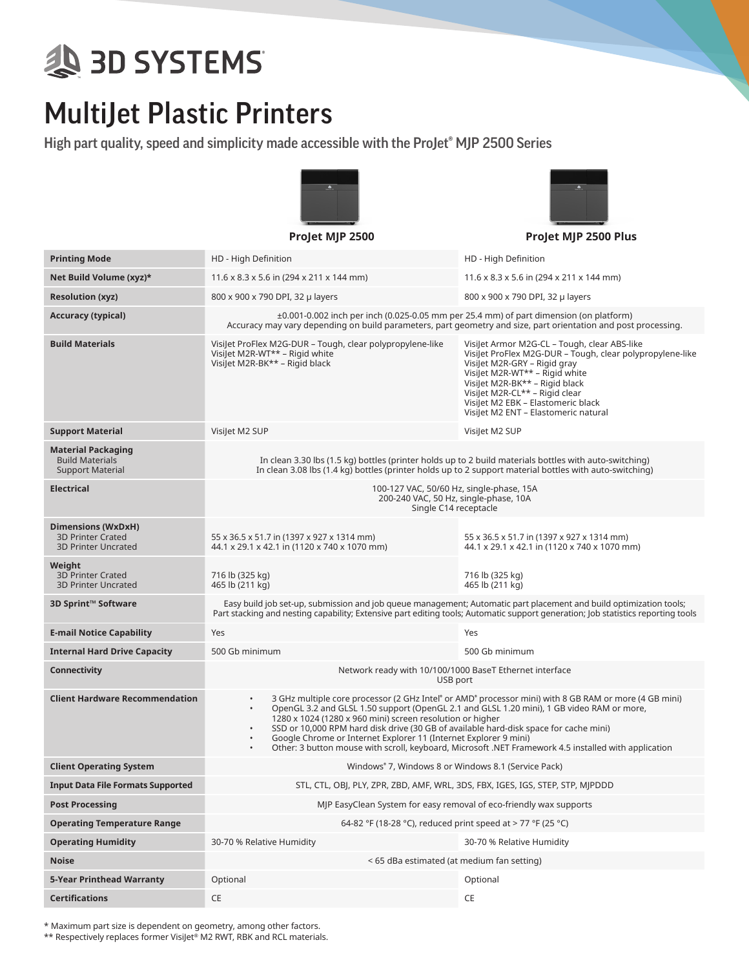## **SD SYSTEMS**

## MultiJet Plastic Printers

High part quality, speed and simplicity made accessible with the ProJet® MJP 2500 Series





**ProJet MJP 2500 ProJet MJP 2500 Plus**

| <b>Printing Mode</b>                                                           | HD - High Definition                                                                                                                                                                                                                                                                                                                                                                                                                                                                                                                                                                     | HD - High Definition                                                                                                                                                                                                                                                                                                          |  |  |  |  |  |
|--------------------------------------------------------------------------------|------------------------------------------------------------------------------------------------------------------------------------------------------------------------------------------------------------------------------------------------------------------------------------------------------------------------------------------------------------------------------------------------------------------------------------------------------------------------------------------------------------------------------------------------------------------------------------------|-------------------------------------------------------------------------------------------------------------------------------------------------------------------------------------------------------------------------------------------------------------------------------------------------------------------------------|--|--|--|--|--|
| Net Build Volume (xyz)*                                                        | $11.6 \times 8.3 \times 5.6$ in (294 x 211 x 144 mm)                                                                                                                                                                                                                                                                                                                                                                                                                                                                                                                                     | $11.6 \times 8.3 \times 5.6$ in (294 x 211 x 144 mm)                                                                                                                                                                                                                                                                          |  |  |  |  |  |
| <b>Resolution (xyz)</b>                                                        | 800 x 900 x 790 DPI, 32 µ layers                                                                                                                                                                                                                                                                                                                                                                                                                                                                                                                                                         | 800 x 900 x 790 DPI, 32 µ layers                                                                                                                                                                                                                                                                                              |  |  |  |  |  |
| <b>Accuracy (typical)</b>                                                      | ±0.001-0.002 inch per inch (0.025-0.05 mm per 25.4 mm) of part dimension (on platform)<br>Accuracy may vary depending on build parameters, part geometry and size, part orientation and post processing.                                                                                                                                                                                                                                                                                                                                                                                 |                                                                                                                                                                                                                                                                                                                               |  |  |  |  |  |
| <b>Build Materials</b>                                                         | Visilet ProFlex M2G-DUR - Tough, clear polypropylene-like<br>VisiJet M2R-WT** - Rigid white<br>Visilet M2R-BK** - Rigid black                                                                                                                                                                                                                                                                                                                                                                                                                                                            | Visilet Armor M2G-CL - Tough, clear ABS-like<br>Visilet ProFlex M2G-DUR - Tough, clear polypropylene-like<br>VisiJet M2R-GRY - Rigid gray<br>Visilet M2R-WT** - Rigid white<br>VisiJet M2R-BK** - Rigid black<br>VisiJet M2R-CL** - Rigid clear<br>Visilet M2 EBK - Elastomeric black<br>Visilet M2 ENT - Elastomeric natural |  |  |  |  |  |
| <b>Support Material</b>                                                        | VisiJet M2 SUP                                                                                                                                                                                                                                                                                                                                                                                                                                                                                                                                                                           | Visilet M2 SUP                                                                                                                                                                                                                                                                                                                |  |  |  |  |  |
| <b>Material Packaging</b><br><b>Build Materials</b><br><b>Support Material</b> | In clean 3.30 lbs (1.5 kg) bottles (printer holds up to 2 build materials bottles with auto-switching)<br>In clean 3.08 lbs (1.4 kg) bottles (printer holds up to 2 support material bottles with auto-switching)                                                                                                                                                                                                                                                                                                                                                                        |                                                                                                                                                                                                                                                                                                                               |  |  |  |  |  |
| <b>Electrical</b>                                                              | 100-127 VAC, 50/60 Hz, single-phase, 15A<br>200-240 VAC, 50 Hz, single-phase, 10A<br>Single C14 receptacle                                                                                                                                                                                                                                                                                                                                                                                                                                                                               |                                                                                                                                                                                                                                                                                                                               |  |  |  |  |  |
| Dimensions (WxDxH)<br><b>3D Printer Crated</b><br><b>3D Printer Uncrated</b>   | 55 x 36.5 x 51.7 in (1397 x 927 x 1314 mm)<br>44.1 x 29.1 x 42.1 in (1120 x 740 x 1070 mm)                                                                                                                                                                                                                                                                                                                                                                                                                                                                                               | 55 x 36.5 x 51.7 in (1397 x 927 x 1314 mm)<br>44.1 x 29.1 x 42.1 in (1120 x 740 x 1070 mm)                                                                                                                                                                                                                                    |  |  |  |  |  |
| Weight<br><b>3D Printer Crated</b><br><b>3D Printer Uncrated</b>               | 716 lb (325 kg)<br>465 lb (211 kg)                                                                                                                                                                                                                                                                                                                                                                                                                                                                                                                                                       | 716 lb (325 kg)<br>465 lb (211 kg)                                                                                                                                                                                                                                                                                            |  |  |  |  |  |
| 3D Sprint™ Software                                                            | Easy build job set-up, submission and job queue management; Automatic part placement and build optimization tools;<br>Part stacking and nesting capability; Extensive part editing tools; Automatic support generation; Job statistics reporting tools                                                                                                                                                                                                                                                                                                                                   |                                                                                                                                                                                                                                                                                                                               |  |  |  |  |  |
| <b>E-mail Notice Capability</b>                                                | Yes                                                                                                                                                                                                                                                                                                                                                                                                                                                                                                                                                                                      | Yes                                                                                                                                                                                                                                                                                                                           |  |  |  |  |  |
| <b>Internal Hard Drive Capacity</b>                                            | 500 Gb minimum                                                                                                                                                                                                                                                                                                                                                                                                                                                                                                                                                                           | 500 Gb minimum                                                                                                                                                                                                                                                                                                                |  |  |  |  |  |
| <b>Connectivity</b>                                                            | Network ready with 10/100/1000 BaseT Ethernet interface<br>USB port                                                                                                                                                                                                                                                                                                                                                                                                                                                                                                                      |                                                                                                                                                                                                                                                                                                                               |  |  |  |  |  |
| <b>Client Hardware Recommendation</b>                                          | 3 GHz multiple core processor (2 GHz Intel® or AMD® processor mini) with 8 GB RAM or more (4 GB mini)<br>$\bullet$<br>OpenGL 3.2 and GLSL 1.50 support (OpenGL 2.1 and GLSL 1.20 mini), 1 GB video RAM or more,<br>$\bullet$<br>1280 x 1024 (1280 x 960 mini) screen resolution or higher<br>SSD or 10,000 RPM hard disk drive (30 GB of available hard-disk space for cache mini)<br>$\bullet$<br>Google Chrome or Internet Explorer 11 (Internet Explorer 9 mini)<br>$\bullet$<br>Other: 3 button mouse with scroll, keyboard, Microsoft .NET Framework 4.5 installed with application |                                                                                                                                                                                                                                                                                                                               |  |  |  |  |  |
| <b>Client Operating System</b>                                                 | Windows® 7, Windows 8 or Windows 8.1 (Service Pack)                                                                                                                                                                                                                                                                                                                                                                                                                                                                                                                                      |                                                                                                                                                                                                                                                                                                                               |  |  |  |  |  |
| <b>Input Data File Formats Supported</b>                                       | STL, CTL, OBJ, PLY, ZPR, ZBD, AMF, WRL, 3DS, FBX, IGES, IGS, STEP, STP, MJPDDD                                                                                                                                                                                                                                                                                                                                                                                                                                                                                                           |                                                                                                                                                                                                                                                                                                                               |  |  |  |  |  |
| <b>Post Processing</b>                                                         | MJP EasyClean System for easy removal of eco-friendly wax supports                                                                                                                                                                                                                                                                                                                                                                                                                                                                                                                       |                                                                                                                                                                                                                                                                                                                               |  |  |  |  |  |
| <b>Operating Temperature Range</b>                                             | 64-82 °F (18-28 °C), reduced print speed at > 77 °F (25 °C)                                                                                                                                                                                                                                                                                                                                                                                                                                                                                                                              |                                                                                                                                                                                                                                                                                                                               |  |  |  |  |  |
| <b>Operating Humidity</b>                                                      | 30-70 % Relative Humidity                                                                                                                                                                                                                                                                                                                                                                                                                                                                                                                                                                | 30-70 % Relative Humidity                                                                                                                                                                                                                                                                                                     |  |  |  |  |  |
| <b>Noise</b>                                                                   | < 65 dBa estimated (at medium fan setting)                                                                                                                                                                                                                                                                                                                                                                                                                                                                                                                                               |                                                                                                                                                                                                                                                                                                                               |  |  |  |  |  |
| 5-Year Printhead Warranty                                                      | Optional                                                                                                                                                                                                                                                                                                                                                                                                                                                                                                                                                                                 | Optional                                                                                                                                                                                                                                                                                                                      |  |  |  |  |  |
| <b>Certifications</b>                                                          | CE                                                                                                                                                                                                                                                                                                                                                                                                                                                                                                                                                                                       | CE                                                                                                                                                                                                                                                                                                                            |  |  |  |  |  |

\* Maximum part size is dependent on geometry, among other factors.

\*\* Respectively replaces former VisiJet<sup>®</sup> M2 RWT, RBK and RCL materials.